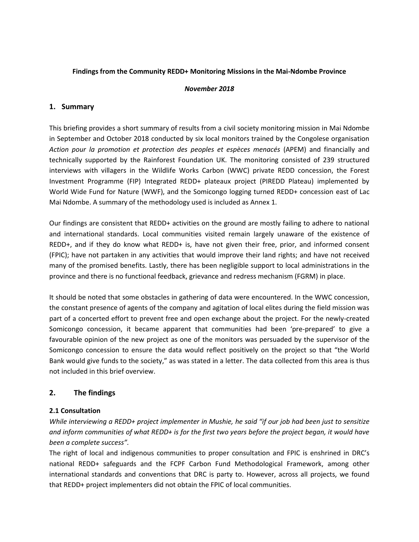## **Findings from the Community REDD+ Monitoring Missions in the Mai-Ndombe Province**

## *November 2018*

# **1. Summary**

This briefing provides a short summary of results from a civil society monitoring mission in Mai Ndombe in September and October 2018 conducted by six local monitors trained by the Congolese organisation *Action pour la promotion et protection des peoples et espèces menacés* (APEM) and financially and technically supported by the Rainforest Foundation UK. The monitoring consisted of 239 structured interviews with villagers in the Wildlife Works Carbon (WWC) private REDD concession, the Forest Investment Programme (FIP) Integrated REDD+ plateaux project (PIREDD Plateau) implemented by World Wide Fund for Nature (WWF), and the Somicongo logging turned REDD+ concession east of Lac Mai Ndombe. A summary of the methodology used is included as Annex 1.

Our findings are consistent that REDD+ activities on the ground are mostly failing to adhere to national and international standards. Local communities visited remain largely unaware of the existence of REDD+, and if they do know what REDD+ is, have not given their free, prior, and informed consent (FPIC); have not partaken in any activities that would improve their land rights; and have not received many of the promised benefits. Lastly, there has been negligible support to local administrations in the province and there is no functional feedback, grievance and redress mechanism (FGRM) in place.

It should be noted that some obstacles in gathering of data were encountered. In the WWC concession, the constant presence of agents of the company and agitation of local elites during the field mission was part of a concerted effort to prevent free and open exchange about the project. For the newly-created Somicongo concession, it became apparent that communities had been 'pre-prepared' to give a favourable opinion of the new project as one of the monitors was persuaded by the supervisor of the Somicongo concession to ensure the data would reflect positively on the project so that "the World Bank would give funds to the society," as was stated in a letter. The data collected from this area is thus not included in this brief overview.

# **2. The findings**

# **2.1 Consultation**

*While interviewing a REDD+ project implementer in Mushie, he said "if our job had been just to sensitize and inform communities of what REDD+ is for the first two years before the project began, it would have been a complete success".* 

The right of local and indigenous communities to proper consultation and FPIC is enshrined in DRC's national REDD+ safeguards and the FCPF Carbon Fund Methodological Framework, among other international standards and conventions that DRC is party to. However, across all projects, we found that REDD+ project implementers did not obtain the FPIC of local communities.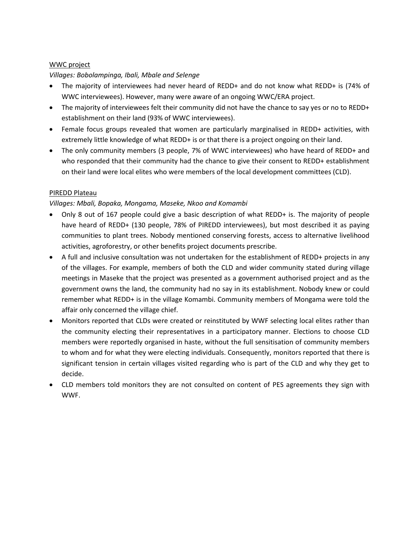## WWC project

# *Villages: Bobolampinga, Ibali, Mbale and Selenge*

- The majority of interviewees had never heard of REDD+ and do not know what REDD+ is (74% of WWC interviewees). However, many were aware of an ongoing WWC/ERA project.
- The majority of interviewees felt their community did not have the chance to say yes or no to REDD+ establishment on their land (93% of WWC interviewees).
- Female focus groups revealed that women are particularly marginalised in REDD+ activities, with extremely little knowledge of what REDD+ is or that there is a project ongoing on their land.
- The only community members (3 people, 7% of WWC interviewees) who have heard of REDD+ and who responded that their community had the chance to give their consent to REDD+ establishment on their land were local elites who were members of the local development committees (CLD).

# PIREDD Plateau

# *Villages: Mbali, Bopaka, Mongama, Maseke, Nkoo and Komambi*

- Only 8 out of 167 people could give a basic description of what REDD+ is. The majority of people have heard of REDD+ (130 people, 78% of PIREDD interviewees), but most described it as paying communities to plant trees. Nobody mentioned conserving forests, access to alternative livelihood activities, agroforestry, or other benefits project documents prescribe.
- A full and inclusive consultation was not undertaken for the establishment of REDD+ projects in any of the villages. For example, members of both the CLD and wider community stated during village meetings in Maseke that the project was presented as a government authorised project and as the government owns the land, the community had no say in its establishment. Nobody knew or could remember what REDD+ is in the village Komambi. Community members of Mongama were told the affair only concerned the village chief.
- Monitors reported that CLDs were created or reinstituted by WWF selecting local elites rather than the community electing their representatives in a participatory manner. Elections to choose CLD members were reportedly organised in haste, without the full sensitisation of community members to whom and for what they were electing individuals. Consequently, monitors reported that there is significant tension in certain villages visited regarding who is part of the CLD and why they get to decide.
- CLD members told monitors they are not consulted on content of PES agreements they sign with WWF.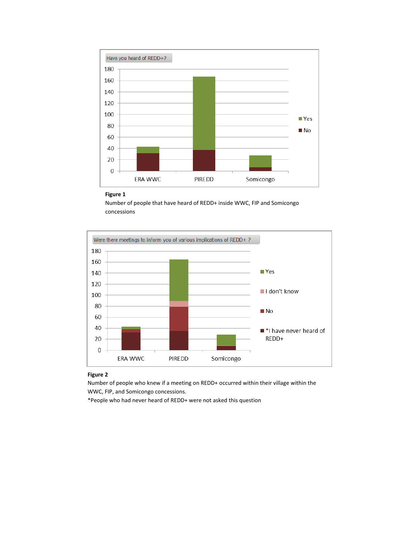

#### **Figure 1**

Number of people that have heard of REDD+ inside WWC, FIP and Somicongo concessions



### **Figure 2**

Number of people who knew if a meeting on REDD+ occurred within their village within the WWC, FIP, and Somicongo concessions.

\*People who had never heard of REDD+ were not asked this question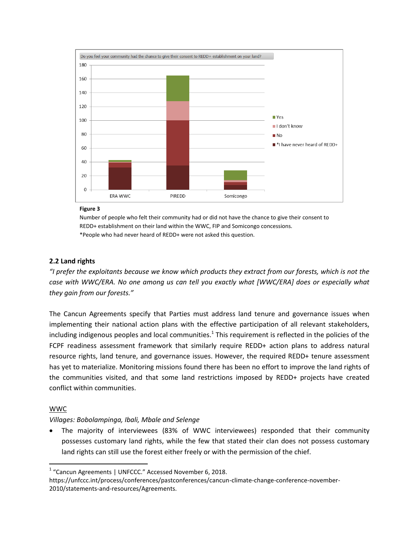

### **Figure 3**

Number of people who felt their community had or did not have the chance to give their consent to REDD+ establishment on their land within the WWC, FIP and Somicongo concessions. \*People who had never heard of REDD+ were not asked this question.

## **2.2 Land rights**

*"I prefer the exploitants because we know which products they extract from our forests, which is not the case with WWC/ERA. No one among us can tell you exactly what [WWC/ERA] does or especially what they gain from our forests."*

The Cancun Agreements specify that Parties must address land tenure and governance issues when implementing their national action plans with the effective participation of all relevant stakeholders, including indigenous peoples and local communities.<sup>1</sup> This requirement is reflected in the policies of the FCPF readiness assessment framework that similarly require REDD+ action plans to address natural resource rights, land tenure, and governance issues. However, the required REDD+ tenure assessment has yet to materialize. Monitoring missions found there has been no effort to improve the land rights of the communities visited, and that some land restrictions imposed by REDD+ projects have created conflict within communities.

## WWC

 $\overline{\phantom{a}}$ 

## *Villages: Bobolampinga, Ibali, Mbale and Selenge*

 The majority of interviewees (83% of WWC interviewees) responded that their community possesses customary land rights, while the few that stated their clan does not possess customary land rights can still use the forest either freely or with the permission of the chief.

<sup>&</sup>lt;sup>1</sup> "Cancun Agreements | UNFCCC." Accessed November 6, 2018.

https://unfccc.int/process/conferences/pastconferences/cancun-climate-change-conference-november-2010/statements-and-resources/Agreements.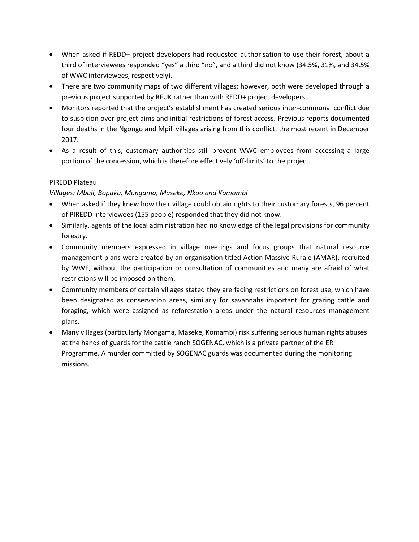- When asked if REDD+ project developers had requested authorisation to use their forest, about a third of interviewees responded "yes" a third "no", and a third did not know (34.5%, 31%, and 34.5% of WWC interviewees, respectively).
- There are two community maps of two different villages; however, both were developed through a previous project supported by RFUK rather than with REDD+ project developers.
- Monitors reported that the project's establishment has created serious inter-communal conflict due to suspicion over project aims and initial restrictions of forest access. Previous reports documented four deaths in the Ngongo and Mpili villages arising from this conflict, the most recent in December 2017.
- As a result of this, customary authorities still prevent WWC employees from accessing a large portion of the concession, which is therefore effectively 'off-limits' to the project.

# PIREDD Plateau

# *Villages: Mbali, Bopaka, Mongama, Maseke, Nkoo and Komambi*

- When asked if they knew how their village could obtain rights to their customary forests, 96 percent of PIREDD interviewees (155 people) responded that they did not know.
- Similarly, agents of the local administration had no knowledge of the legal provisions for community forestry.
- Community members expressed in village meetings and focus groups that natural resource management plans were created by an organisation titled Action Massive Rurale (AMAR), recruited by WWF, without the participation or consultation of communities and many are afraid of what restrictions will be imposed on them.
- Community members of certain villages stated they are facing restrictions on forest use, which have been designated as conservation areas, similarly for savannahs important for grazing cattle and foraging, which were assigned as reforestation areas under the natural resources management plans.
- Many villages (particularly Mongama, Maseke, Komambi) risk suffering serious human rights abuses at the hands of guards for the cattle ranch SOGENAC, which is a private partner of the ER Programme. A murder committed by SOGENAC guards was documented during the monitoring missions.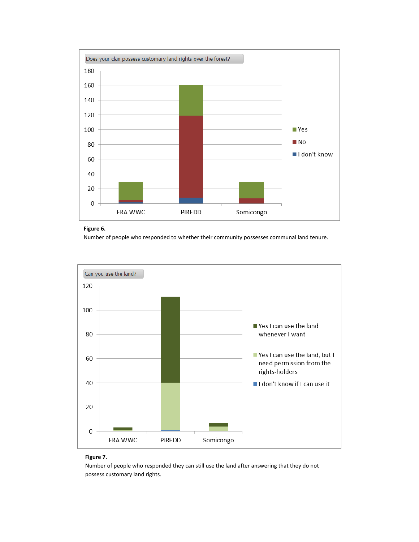



Number of people who responded to whether their community possesses communal land tenure.



### **Figure 7.**

Number of people who responded they can still use the land after answering that they do not possess customary land rights.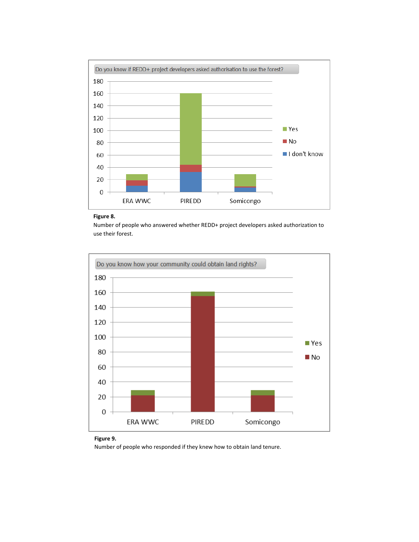

#### **Figure 8.**

Number of people who answered whether REDD+ project developers asked authorization to use their forest.



## **Figure 9.**

Number of people who responded if they knew how to obtain land tenure.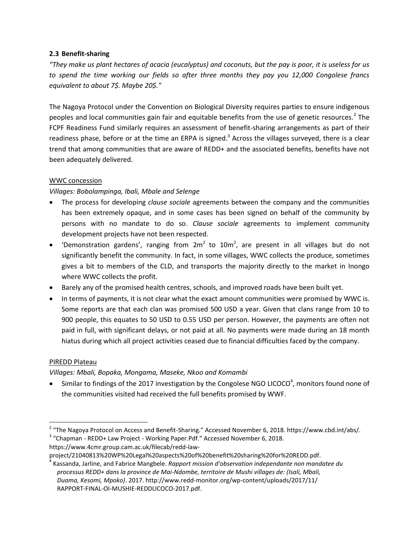# **2.3 Benefit-sharing**

*"They make us plant hectares of acacia (eucalyptus) and coconuts, but the pay is poor, it is useless for us to spend the time working our fields so after three months they pay you 12,000 Congolese francs equivalent to about 7\$. Maybe 20\$."*

The Nagoya Protocol under the Convention on Biological Diversity requires parties to ensure indigenous peoples and local communities gain fair and equitable benefits from the use of genetic resources.<sup>2</sup> The FCPF Readiness Fund similarly requires an assessment of benefit-sharing arrangements as part of their readiness phase, before or at the time an ERPA is signed.<sup>3</sup> Across the villages surveyed, there is a clear trend that among communities that are aware of REDD+ and the associated benefits, benefits have not been adequately delivered.

# WWC concession

# *Villages: Bobolampinga, Ibali, Mbale and Selenge*

- The process for developing *clause sociale* agreements between the company and the communities has been extremely opaque, and in some cases has been signed on behalf of the community by persons with no mandate to do so. *Clause sociale* agreements to implement community development projects have not been respected.
- 'Demonstration gardens', ranging from  $2m^2$  to  $10m^2$ , are present in all villages but do not significantly benefit the community. In fact, in some villages, WWC collects the produce, sometimes gives a bit to members of the CLD, and transports the majority directly to the market in Inongo where WWC collects the profit.
- Barely any of the promised health centres, schools, and improved roads have been built yet.
- In terms of payments, it is not clear what the exact amount communities were promised by WWC is. Some reports are that each clan was promised 500 USD a year. Given that clans range from 10 to 900 people, this equates to 50 USD to 0.55 USD per person. However, the payments are often not paid in full, with significant delays, or not paid at all. No payments were made during an 18 month hiatus during which all project activities ceased due to financial difficulties faced by the company.

# PIREDD Plateau

# *Villages: Mbali, Bopaka, Mongama, Maseke, Nkoo and Komambi*

 $\bullet$  Similar to findings of the 2017 investigation by the Congolese NGO LICOCO<sup>4</sup>, monitors found none of the communities visited had received the full benefits promised by WWF.

https://www.4cmr.group.cam.ac.uk/filecab/redd-law-

 2 "The Nagoya Protocol on Access and Benefit-Sharing." Accessed November 6, 2018. https://www.cbd.int/abs/. <sup>3</sup> "Chapman - REDD+ Law Project - Working Paper.Pdf." Accessed November 6, 2018.

project/21040813%20WP%20Legal%20aspects%20of%20benefit%20sharing%20for%20REDD.pdf.

<sup>4</sup> Kassanda, Jarline, and Fabrice Mangbele. *Rapport mission d'observation independante non mandatee du processus REDD+ dans la province de Mai-Ndombe, territoire de Mushi villages de: (Isali, Mbali, Duama, Kesomi, Mpoko)*. 2017. http://www.redd-monitor.org/wp-content/uploads/2017/11/ RAPPORT-FINAL-OI-MUSHIE-REDDLICOCO-2017.pdf.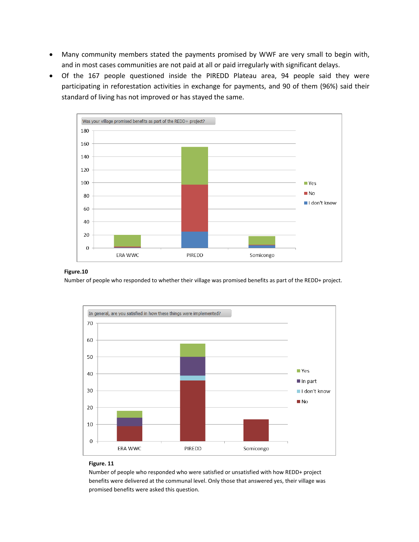- Many community members stated the payments promised by WWF are very small to begin with, and in most cases communities are not paid at all or paid irregularly with significant delays.
- Of the 167 people questioned inside the PIREDD Plateau area, 94 people said they were participating in reforestation activities in exchange for payments, and 90 of them (96%) said their standard of living has not improved or has stayed the same.



### **Figure.10**

Number of people who responded to whether their village was promised benefits as part of the REDD+ project.



#### **Figure. 11**

Number of people who responded who were satisfied or unsatisfied with how REDD+ project benefits were delivered at the communal level. Only those that answered yes, their village was promised benefits were asked this question.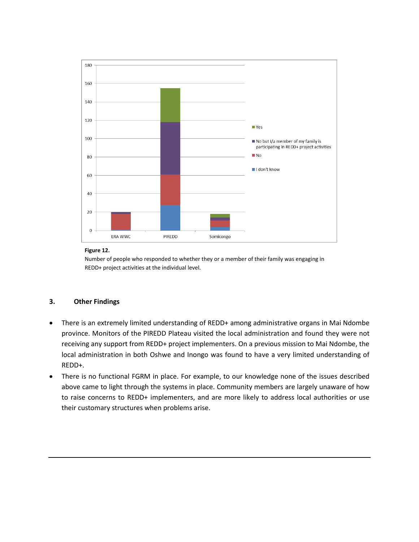

### **Figure 12.**

Number of people who responded to whether they or a member of their family was engaging in REDD+ project activities at the individual level.

## **3. Other Findings**

- There is an extremely limited understanding of REDD+ among administrative organs in Mai Ndombe province. Monitors of the PIREDD Plateau visited the local administration and found they were not receiving any support from REDD+ project implementers. On a previous mission to Mai Ndombe, the local administration in both Oshwe and Inongo was found to have a very limited understanding of REDD+.
- There is no functional FGRM in place. For example, to our knowledge none of the issues described above came to light through the systems in place. Community members are largely unaware of how to raise concerns to REDD+ implementers, and are more likely to address local authorities or use their customary structures when problems arise.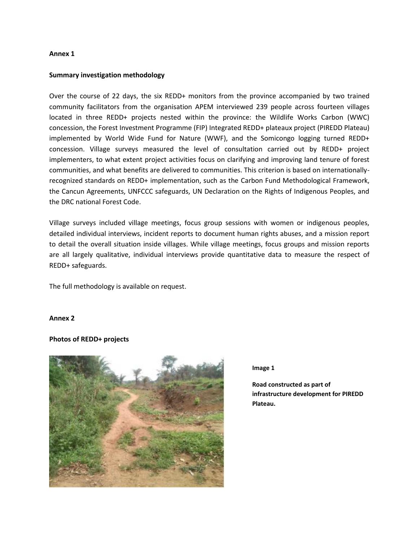### **Annex 1**

## **Summary investigation methodology**

Over the course of 22 days, the six REDD+ monitors from the province accompanied by two trained community facilitators from the organisation APEM interviewed 239 people across fourteen villages located in three REDD+ projects nested within the province: the Wildlife Works Carbon (WWC) concession, the Forest Investment Programme (FIP) Integrated REDD+ plateaux project (PIREDD Plateau) implemented by World Wide Fund for Nature (WWF), and the Somicongo logging turned REDD+ concession. Village surveys measured the level of consultation carried out by REDD+ project implementers, to what extent project activities focus on clarifying and improving land tenure of forest communities, and what benefits are delivered to communities. This criterion is based on internationallyrecognized standards on REDD+ implementation, such as the Carbon Fund Methodological Framework, the Cancun Agreements, UNFCCC safeguards, UN Declaration on the Rights of Indigenous Peoples, and the DRC national Forest Code.

Village surveys included village meetings, focus group sessions with women or indigenous peoples, detailed individual interviews, incident reports to document human rights abuses, and a mission report to detail the overall situation inside villages. While village meetings, focus groups and mission reports are all largely qualitative, individual interviews provide quantitative data to measure the respect of REDD+ safeguards.

The full methodology is available on request.

### **Annex 2**

### **Photos of REDD+ projects**



#### **Image 1**

**Road constructed as part of infrastructure development for PIREDD Plateau.**